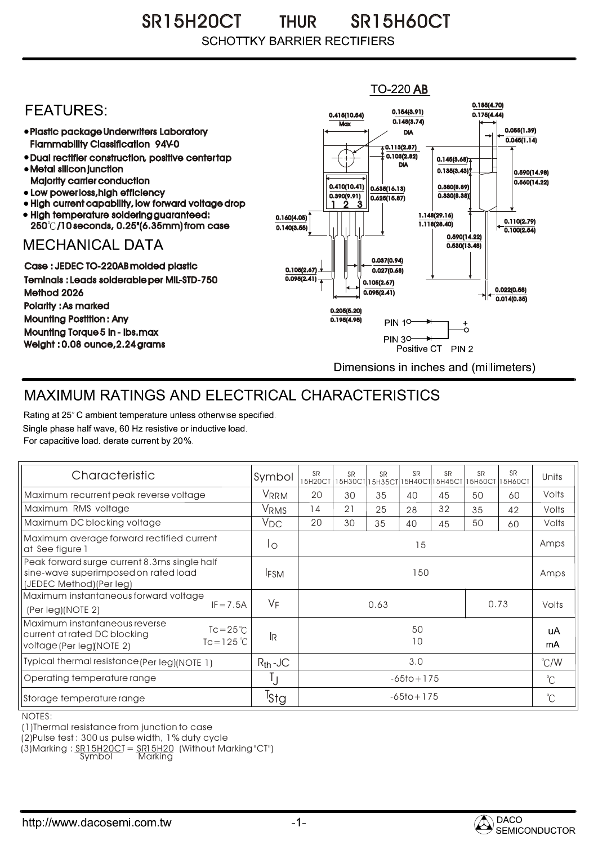SR15H20CT THUR SR15H60CT THUR**SCHOTTKY BARRIER RECTIFIERS** 



## MAXIMUM RATINGS AND ELECTRICAL CHARACTERISTICS

Rating at 25° C ambient temperature unless otherwise specified. Single phase half wave, 60 Hz resistive or inductive load. For capacitive load, derate current by 20%.

| Characteristic                                                                                                                   | Symbol           | <b>SR</b><br>15H20CT | <b>SR</b><br>15H30CT | <b>SR</b><br>15H35CT | <b>SR</b> | <b>SR</b><br>15H40CT 15H45CT 15H50CT | <b>SR</b> | <b>SR</b><br>15H60CT | Units         |
|----------------------------------------------------------------------------------------------------------------------------------|------------------|----------------------|----------------------|----------------------|-----------|--------------------------------------|-----------|----------------------|---------------|
| Maximum recurrent peak reverse voltage                                                                                           | VRRM             | 20                   | 30                   | 35                   | 40        | 45                                   | 50        | 60                   | Volts         |
| Maximum RMS voltage                                                                                                              | <b>VRMS</b>      | 14                   | 21                   | 25                   | 28        | 32                                   | 35        | 42                   | Volts         |
| Maximum DC blocking voltage                                                                                                      | $V_{DC}$         | 20                   | 30                   | 35                   | 40        | 45                                   | 50        | 60                   | Volts         |
| Maximum average forward rectified current<br>at See figure 1                                                                     | Ιo               | 15                   |                      |                      |           |                                      |           |                      | Amps          |
| Peak forward surge current 8.3ms single half<br>sine-wave superimposed on rated load<br>(JEDEC Method) (Per leg)                 | <b>IFSM</b>      | 150                  |                      |                      |           |                                      |           |                      | Amps          |
| Maximum instantaneous forward voltage<br>$IF = 7.5A$<br>(Per leg)(NOTE 2)                                                        | $V_F$            | 0.73<br>0.63         |                      |                      |           |                                      |           | Volts                |               |
| Maximum instantaneous reverse<br>$Tc = 25^{\circ}$<br>current at rated DC blocking<br>$Tc = 125$ °C<br>voltage (Per leg)(NOTE 2) | l <sub>R</sub>   | 50<br>10             |                      |                      |           |                                      |           |                      | uA<br>mA      |
| Typical thermal resistance (Per leg) (NOTE 1)                                                                                    | $R_{th}$ -JC     | 3.0                  |                      |                      |           |                                      |           |                      | $\degree$ C/W |
| Operating temperature range                                                                                                      | IJ               | $-65$ to + 175       |                      |                      |           |                                      |           | $^{\circ}$ C         |               |
| Storage temperature range                                                                                                        | <sup>I</sup> Sta | $-65$ to + 175       |                      |                      |           |                                      |           | $^{\circ}C$          |               |

NOTES:

(1)Thermal resistance from junction to case

(2)Pulse test : 300 us pulse width, 1% duty cycle

(3)Marking : <u>SR15H20CT = SR15H20</u> (Without Marking "CT") R

Symbol Marking